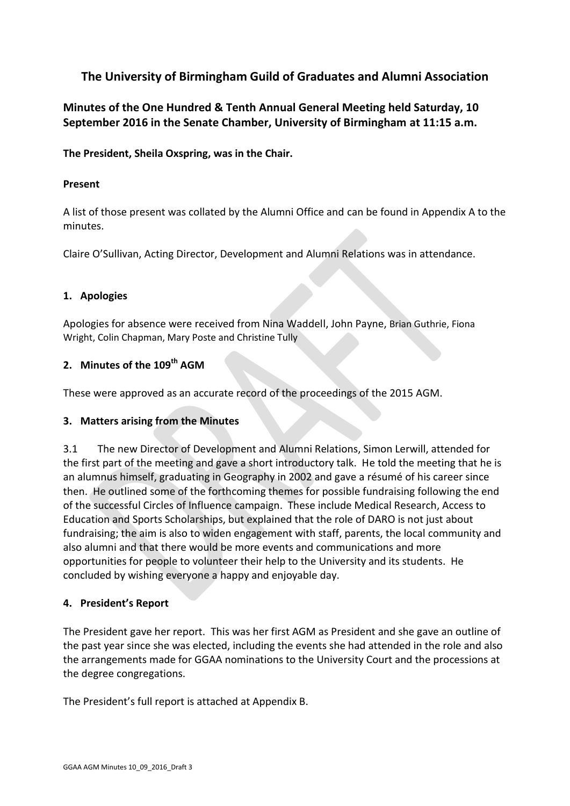# **The University of Birmingham Guild of Graduates and Alumni Association**

**Minutes of the One Hundred & Tenth Annual General Meeting held Saturday, 10 September 2016 in the Senate Chamber, University of Birmingham at 11:15 a.m.**

**The President, Sheila Oxspring, was in the Chair.** 

## **Present**

A list of those present was collated by the Alumni Office and can be found in Appendix A to the minutes.

Claire O'Sullivan, Acting Director, Development and Alumni Relations was in attendance.

## **1. Apologies**

Apologies for absence were received from Nina Waddell, John Payne, Brian Guthrie, Fiona Wright, Colin Chapman, Mary Poste and Christine Tully

## **2. Minutes of the 109 th AGM**

These were approved as an accurate record of the proceedings of the 2015 AGM.

## **3. Matters arising from the Minutes**

3.1 The new Director of Development and Alumni Relations, Simon Lerwill, attended for the first part of the meeting and gave a short introductory talk. He told the meeting that he is an alumnus himself, graduating in Geography in 2002 and gave a résumé of his career since then. He outlined some of the forthcoming themes for possible fundraising following the end of the successful Circles of Influence campaign. These include Medical Research, Access to Education and Sports Scholarships, but explained that the role of DARO is not just about fundraising; the aim is also to widen engagement with staff, parents, the local community and also alumni and that there would be more events and communications and more opportunities for people to volunteer their help to the University and its students. He concluded by wishing everyone a happy and enjoyable day.

## **4. President's Report**

The President gave her report. This was her first AGM as President and she gave an outline of the past year since she was elected, including the events she had attended in the role and also the arrangements made for GGAA nominations to the University Court and the processions at the degree congregations.

The President's full report is attached at Appendix B.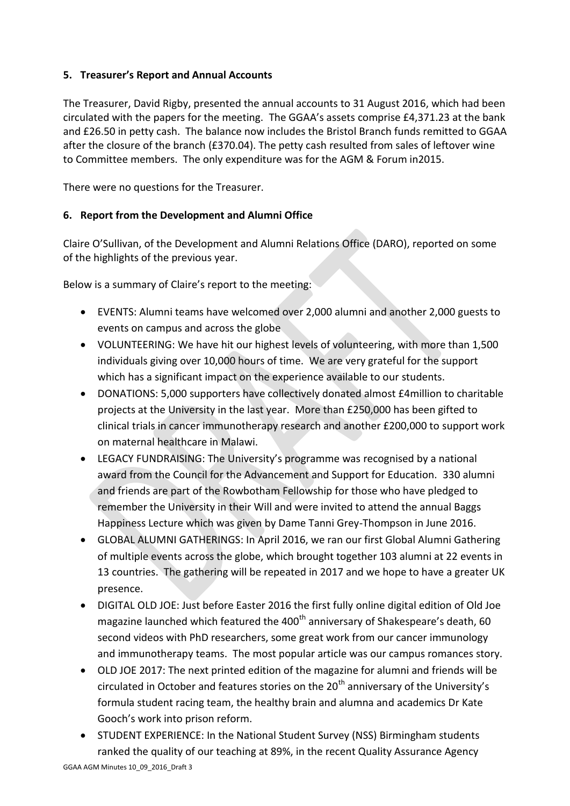## **5. Treasurer's Report and Annual Accounts**

The Treasurer, David Rigby, presented the annual accounts to 31 August 2016, which had been circulated with the papers for the meeting. The GGAA's assets comprise £4,371.23 at the bank and £26.50 in petty cash. The balance now includes the Bristol Branch funds remitted to GGAA after the closure of the branch (£370.04). The petty cash resulted from sales of leftover wine to Committee members. The only expenditure was for the AGM & Forum in2015.

There were no questions for the Treasurer.

## **6. Report from the Development and Alumni Office**

Claire O'Sullivan, of the Development and Alumni Relations Office (DARO), reported on some of the highlights of the previous year.

Below is a summary of Claire's report to the meeting:

- EVENTS: Alumni teams have welcomed over 2,000 alumni and another 2,000 guests to events on campus and across the globe
- VOLUNTEERING: We have hit our highest levels of volunteering, with more than 1,500 individuals giving over 10,000 hours of time. We are very grateful for the support which has a significant impact on the experience available to our students.
- DONATIONS: 5,000 supporters have collectively donated almost £4million to charitable projects at the University in the last year. More than £250,000 has been gifted to clinical trials in cancer immunotherapy research and another £200,000 to support work on maternal healthcare in Malawi.
- LEGACY FUNDRAISING: The University's programme was recognised by a national award from the Council for the Advancement and Support for Education. 330 alumni and friends are part of the Rowbotham Fellowship for those who have pledged to remember the University in their Will and were invited to attend the annual Baggs Happiness Lecture which was given by Dame Tanni Grey-Thompson in June 2016.
- GLOBAL ALUMNI GATHERINGS: In April 2016, we ran our first Global Alumni Gathering of multiple events across the globe, which brought together 103 alumni at 22 events in 13 countries. The gathering will be repeated in 2017 and we hope to have a greater UK presence.
- DIGITAL OLD JOE: Just before Easter 2016 the first fully online digital edition of Old Joe magazine launched which featured the 400<sup>th</sup> anniversary of Shakespeare's death, 60 second videos with PhD researchers, some great work from our cancer immunology and immunotherapy teams. The most popular article was our campus romances story.
- OLD JOE 2017: The next printed edition of the magazine for alumni and friends will be circulated in October and features stories on the  $20<sup>th</sup>$  anniversary of the University's formula student racing team, the healthy brain and alumna and academics Dr Kate Gooch's work into prison reform.
- STUDENT EXPERIENCE: In the National Student Survey (NSS) Birmingham students ranked the quality of our teaching at 89%, in the recent Quality Assurance Agency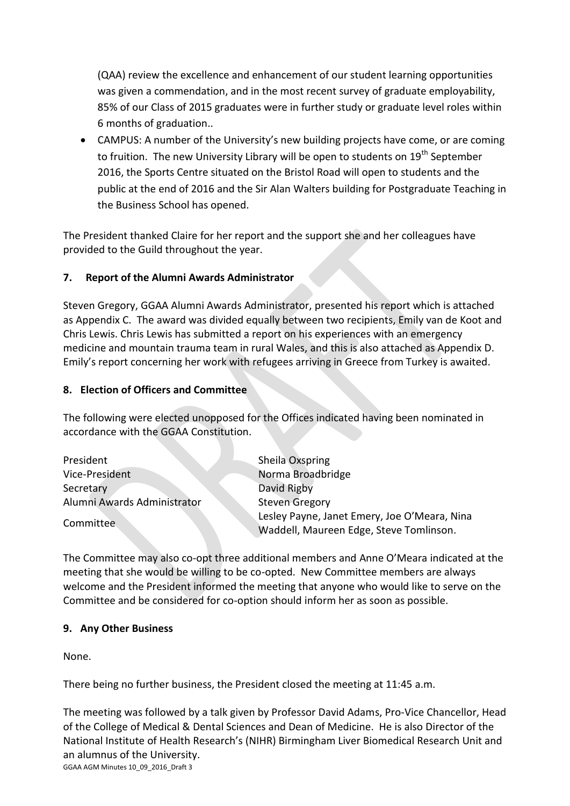(QAA) review the excellence and enhancement of our student learning opportunities was given a commendation, and in the most recent survey of graduate employability, 85% of our Class of 2015 graduates were in further study or graduate level roles within 6 months of graduation..

 CAMPUS: A number of the University's new building projects have come, or are coming to fruition. The new University Library will be open to students on 19<sup>th</sup> September 2016, the Sports Centre situated on the Bristol Road will open to students and the public at the end of 2016 and the Sir Alan Walters building for Postgraduate Teaching in the Business School has opened.

The President thanked Claire for her report and the support she and her colleagues have provided to the Guild throughout the year.

## **7. Report of the Alumni Awards Administrator**

Steven Gregory, GGAA Alumni Awards Administrator, presented his report which is attached as Appendix C. The award was divided equally between two recipients, Emily van de Koot and Chris Lewis. Chris Lewis has submitted a report on his experiences with an emergency medicine and mountain trauma team in rural Wales, and this is also attached as Appendix D. Emily's report concerning her work with refugees arriving in Greece from Turkey is awaited.

## **8. Election of Officers and Committee**

The following were elected unopposed for the Offices indicated having been nominated in accordance with the GGAA Constitution.

| President                   | Sheila Oxspring                              |
|-----------------------------|----------------------------------------------|
| Vice-President              | Norma Broadbridge                            |
| Secretary                   | David Rigby                                  |
| Alumni Awards Administrator | <b>Steven Gregory</b>                        |
| Committee                   | Lesley Payne, Janet Emery, Joe O'Meara, Nina |
|                             | Waddell, Maureen Edge, Steve Tomlinson.      |

The Committee may also co-opt three additional members and Anne O'Meara indicated at the meeting that she would be willing to be co-opted. New Committee members are always welcome and the President informed the meeting that anyone who would like to serve on the Committee and be considered for co-option should inform her as soon as possible.

## **9. Any Other Business**

None.

There being no further business, the President closed the meeting at 11:45 a.m.

GGAA AGM Minutes 10\_09\_2016\_Draft 3 The meeting was followed by a talk given by Professor David Adams, Pro-Vice Chancellor, Head of the College of Medical & Dental Sciences and Dean of Medicine. He is also Director of the National Institute of Health Research's (NIHR) Birmingham Liver Biomedical Research Unit and an alumnus of the University.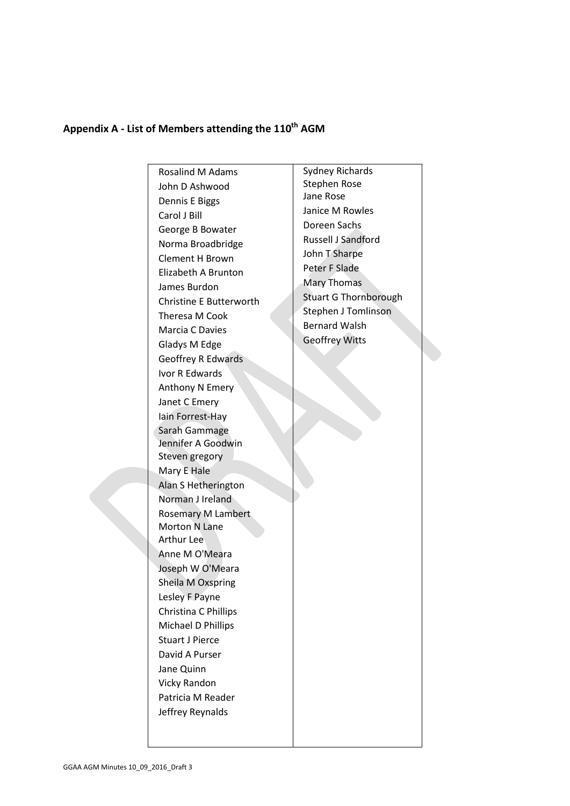# **Appendix A - List of Members attending the 110th AGM**

Rosalind M Adams John D Ashwood Dennis E Biggs Carol J Bill George B Bowater Norma Broadbridge Clement H Brown Elizabeth A Brunton James Burdon Christine E Butterworth Theresa M Cook Marcia C Davies Gladys M Edge Geoffrey R Edwards Ivor R Edwards Anthony N Emery Janet C Emery Iain Forrest-Hay Sarah Gammage Jennifer A Goodwin Steven gregory Mary E Hale Alan S Hetherington Norman J Ireland Rosemary M Lambert Morton N Lane Arthur Lee Anne M O'Meara Joseph W O'Meara Sheila M Oxspring Lesley F Payne Christina C Phillips Michael D Phillips Stuart J Pierce David A Purser Jane Quinn Vicky Randon Patricia M Reader Jeffrey Reynalds

Sydney Richards Stephen Rose Jane Rose Janice M Rowles Doreen Sachs Russell J Sandford John T Sharpe Peter F Slade Mary Thomas Stuart G Thornborough Stephen J Tomlinson Bernard Walsh Geoffrey Witts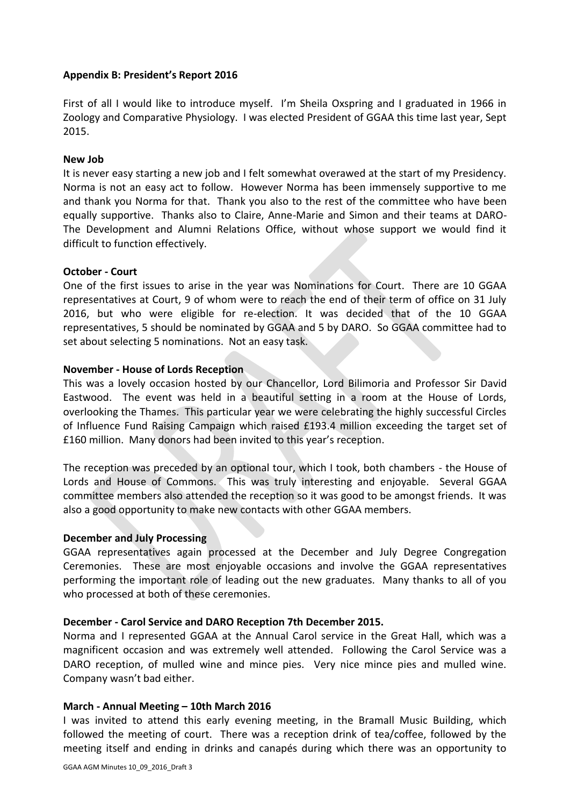#### **Appendix B: President's Report 2016**

First of all I would like to introduce myself. I'm Sheila Oxspring and I graduated in 1966 in Zoology and Comparative Physiology. I was elected President of GGAA this time last year, Sept 2015.

#### **New Job**

It is never easy starting a new job and I felt somewhat overawed at the start of my Presidency. Norma is not an easy act to follow. However Norma has been immensely supportive to me and thank you Norma for that. Thank you also to the rest of the committee who have been equally supportive. Thanks also to Claire, Anne-Marie and Simon and their teams at DARO-The Development and Alumni Relations Office, without whose support we would find it difficult to function effectively.

#### **October - Court**

One of the first issues to arise in the year was Nominations for Court. There are 10 GGAA representatives at Court, 9 of whom were to reach the end of their term of office on 31 July 2016, but who were eligible for re-election. It was decided that of the 10 GGAA representatives, 5 should be nominated by GGAA and 5 by DARO. So GGAA committee had to set about selecting 5 nominations. Not an easy task.

#### **November - House of Lords Reception**

This was a lovely occasion hosted by our Chancellor, Lord Bilimoria and Professor Sir David Eastwood. The event was held in a beautiful setting in a room at the House of Lords, overlooking the Thames. This particular year we were celebrating the highly successful Circles of Influence Fund Raising Campaign which raised £193.4 million exceeding the target set of £160 million. Many donors had been invited to this year's reception.

The reception was preceded by an optional tour, which I took, both chambers - the House of Lords and House of Commons. This was truly interesting and enjoyable. Several GGAA committee members also attended the reception so it was good to be amongst friends. It was also a good opportunity to make new contacts with other GGAA members.

#### **December and July Processing**

GGAA representatives again processed at the December and July Degree Congregation Ceremonies. These are most enjoyable occasions and involve the GGAA representatives performing the important role of leading out the new graduates. Many thanks to all of you who processed at both of these ceremonies.

#### **December - Carol Service and DARO Reception 7th December 2015.**

Norma and I represented GGAA at the Annual Carol service in the Great Hall, which was a magnificent occasion and was extremely well attended. Following the Carol Service was a DARO reception, of mulled wine and mince pies. Very nice mince pies and mulled wine. Company wasn't bad either.

#### **March - Annual Meeting – 10th March 2016**

I was invited to attend this early evening meeting, in the Bramall Music Building, which followed the meeting of court. There was a reception drink of tea/coffee, followed by the meeting itself and ending in drinks and canapés during which there was an opportunity to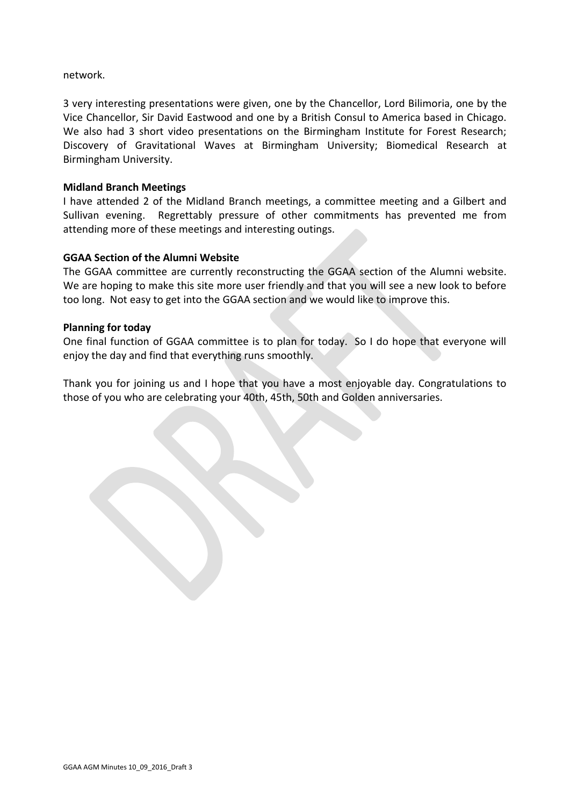network.

3 very interesting presentations were given, one by the Chancellor, Lord Bilimoria, one by the Vice Chancellor, Sir David Eastwood and one by a British Consul to America based in Chicago. We also had 3 short video presentations on the Birmingham Institute for Forest Research; Discovery of Gravitational Waves at Birmingham University; Biomedical Research at Birmingham University.

#### **Midland Branch Meetings**

I have attended 2 of the Midland Branch meetings, a committee meeting and a Gilbert and Sullivan evening. Regrettably pressure of other commitments has prevented me from attending more of these meetings and interesting outings.

## **GGAA Section of the Alumni Website**

The GGAA committee are currently reconstructing the GGAA section of the Alumni website. We are hoping to make this site more user friendly and that you will see a new look to before too long. Not easy to get into the GGAA section and we would like to improve this.

#### **Planning for today**

One final function of GGAA committee is to plan for today. So I do hope that everyone will enjoy the day and find that everything runs smoothly.

Thank you for joining us and I hope that you have a most enjoyable day. Congratulations to those of you who are celebrating your 40th, 45th, 50th and Golden anniversaries.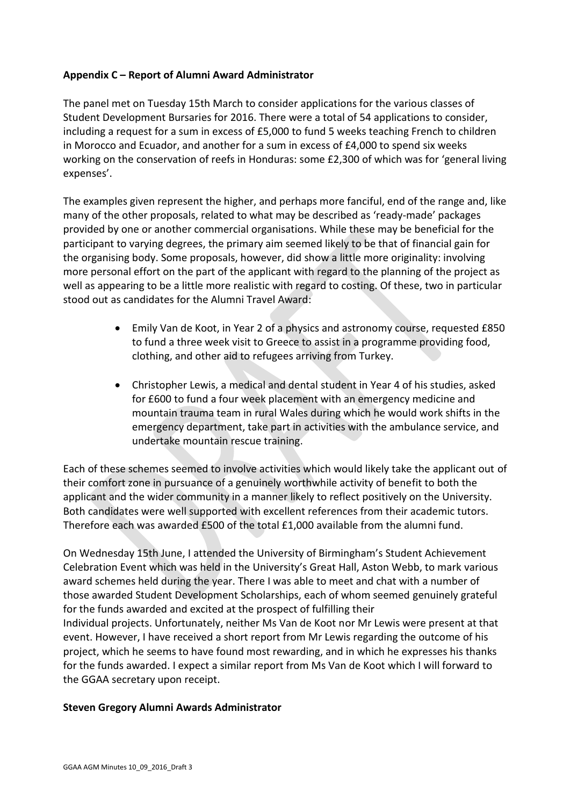## **Appendix C – Report of Alumni Award Administrator**

The panel met on Tuesday 15th March to consider applications for the various classes of Student Development Bursaries for 2016. There were a total of 54 applications to consider, including a request for a sum in excess of £5,000 to fund 5 weeks teaching French to children in Morocco and Ecuador, and another for a sum in excess of £4,000 to spend six weeks working on the conservation of reefs in Honduras: some £2,300 of which was for 'general living expenses'.

The examples given represent the higher, and perhaps more fanciful, end of the range and, like many of the other proposals, related to what may be described as 'ready-made' packages provided by one or another commercial organisations. While these may be beneficial for the participant to varying degrees, the primary aim seemed likely to be that of financial gain for the organising body. Some proposals, however, did show a little more originality: involving more personal effort on the part of the applicant with regard to the planning of the project as well as appearing to be a little more realistic with regard to costing. Of these, two in particular stood out as candidates for the Alumni Travel Award:

- Emily Van de Koot, in Year 2 of a physics and astronomy course, requested £850 to fund a three week visit to Greece to assist in a programme providing food, clothing, and other aid to refugees arriving from Turkey.
- Christopher Lewis, a medical and dental student in Year 4 of his studies, asked for £600 to fund a four week placement with an emergency medicine and mountain trauma team in rural Wales during which he would work shifts in the emergency department, take part in activities with the ambulance service, and undertake mountain rescue training.

Each of these schemes seemed to involve activities which would likely take the applicant out of their comfort zone in pursuance of a genuinely worthwhile activity of benefit to both the applicant and the wider community in a manner likely to reflect positively on the University. Both candidates were well supported with excellent references from their academic tutors. Therefore each was awarded £500 of the total £1,000 available from the alumni fund.

On Wednesday 15th June, I attended the University of Birmingham's Student Achievement Celebration Event which was held in the University's Great Hall, Aston Webb, to mark various award schemes held during the year. There I was able to meet and chat with a number of those awarded Student Development Scholarships, each of whom seemed genuinely grateful for the funds awarded and excited at the prospect of fulfilling their Individual projects. Unfortunately, neither Ms Van de Koot nor Mr Lewis were present at that event. However, I have received a short report from Mr Lewis regarding the outcome of his project, which he seems to have found most rewarding, and in which he expresses his thanks for the funds awarded. I expect a similar report from Ms Van de Koot which I will forward to the GGAA secretary upon receipt.

#### **Steven Gregory Alumni Awards Administrator**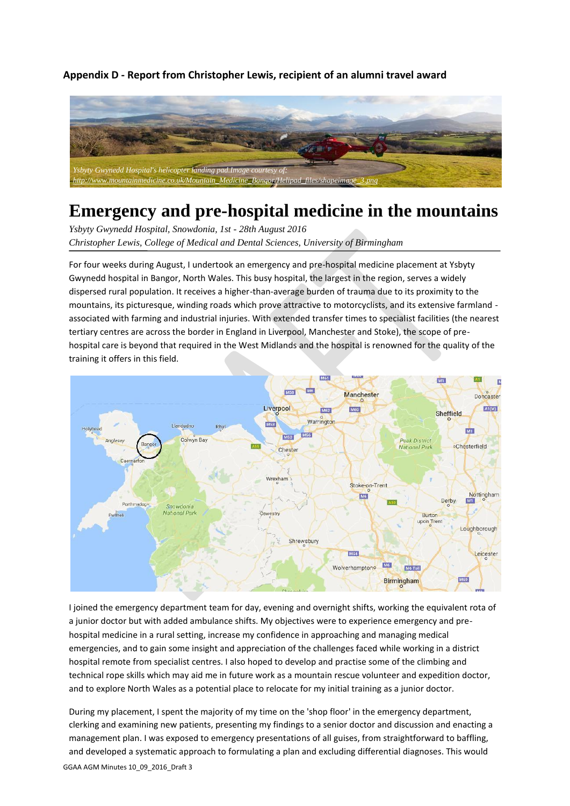**Appendix D - Report from Christopher Lewis, recipient of an alumni travel award**



# **Emergency and pre-hospital medicine in the mountains**

*Ysbyty Gwynedd Hospital, Snowdonia, 1st - 28th August 2016 Christopher Lewis, College of Medical and Dental Sciences, University of Birmingham*

For four weeks during August, I undertook an emergency and pre-hospital medicine placement at Ysbyty Gwynedd hospital in Bangor, North Wales. This busy hospital, the largest in the region, serves a widely dispersed rural population. It receives a higher-than-average burden of trauma due to its proximity to the mountains, its picturesque, winding roads which prove attractive to motorcyclists, and its extensive farmland associated with farming and industrial injuries. With extended transfer times to specialist facilities (the nearest tertiary centres are across the border in England in Liverpool, Manchester and Stoke), the scope of prehospital care is beyond that required in the West Midlands and the hospital is renowned for the quality of the training it offers in this field.



I joined the emergency department team for day, evening and overnight shifts, working the equivalent rota of a junior doctor but with added ambulance shifts. My objectives were to experience emergency and prehospital medicine in a rural setting, increase my confidence in approaching and managing medical emergencies, and to gain some insight and appreciation of the challenges faced while working in a district hospital remote from specialist centres. I also hoped to develop and practise some of the climbing and technical rope skills which may aid me in future work as a mountain rescue volunteer and expedition doctor, and to explore North Wales as a potential place to relocate for my initial training as a junior doctor.

GGAA AGM Minutes 10\_09\_2016\_Draft 3 During my placement, I spent the majority of my time on the 'shop floor' in the emergency department, clerking and examining new patients, presenting my findings to a senior doctor and discussion and enacting a management plan. I was exposed to emergency presentations of all guises, from straightforward to baffling, and developed a systematic approach to formulating a plan and excluding differential diagnoses. This would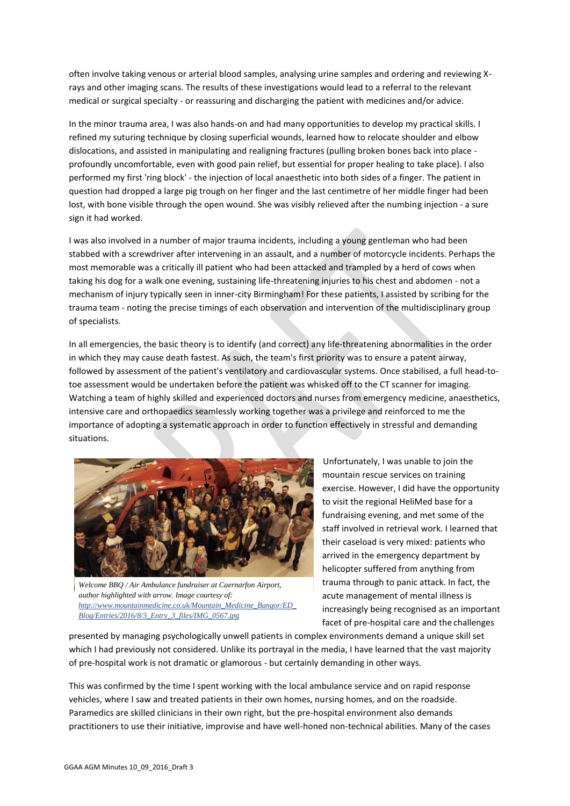often involve taking venous or arterial blood samples, analysing urine samples and ordering and reviewing Xrays and other imaging scans. The results of these investigations would lead to a referral to the relevant medical or surgical specialty - or reassuring and discharging the patient with medicines and/or advice.

In the minor trauma area, I was also hands-on and had many opportunities to develop my practical skills. I refined my suturing technique by closing superficial wounds, learned how to relocate shoulder and elbow dislocations, and assisted in manipulating and realigning fractures (pulling broken bones back into place profoundly uncomfortable, even with good pain relief, but essential for proper healing to take place). I also performed my first 'ring block' - the injection of local anaesthetic into both sides of a finger. The patient in question had dropped a large pig trough on her finger and the last centimetre of her middle finger had been lost, with bone visible through the open wound. She was visibly relieved after the numbing injection - a sure sign it had worked.

I was also involved in a number of major trauma incidents, including a young gentleman who had been stabbed with a screwdriver after intervening in an assault, and a number of motorcycle incidents. Perhaps the most memorable was a critically ill patient who had been attacked and trampled by a herd of cows when taking his dog for a walk one evening, sustaining life-threatening injuries to his chest and abdomen - not a mechanism of injury typically seen in inner-city Birmingham! For these patients, I assisted by scribing for the trauma team - noting the precise timings of each observation and intervention of the multidisciplinary group of specialists.

In all emergencies, the basic theory is to identify (and correct) any life-threatening abnormalities in the order in which they may cause death fastest. As such, the team's first priority was to ensure a patent airway, followed by assessment of the patient's ventilatory and cardiovascular systems. Once stabilised, a full head-totoe assessment would be undertaken before the patient was whisked off to the CT scanner for imaging. Watching a team of highly skilled and experienced doctors and nurses from emergency medicine, anaesthetics, intensive care and orthopaedics seamlessly working together was a privilege and reinforced to me the importance of adopting a systematic approach in order to function effectively in stressful and demanding situations.



*Welcome BBQ / Air Ambulance fundraiser at Caernarfon Airport, author highlighted with arrow. Image courtesy of: [http://www.mountainmedicine.co.uk/Mountain\\_Medicine\\_Bangor/ED\\_](http://www.mountainmedicine.co.uk/Mountain_Medicine_Bangor/ED_) Blog/Entries/2016/8/3\_Entry\_3\_files/IMG\_0567.jpg*

Unfortunately, I was unable to join the mountain rescue services on training exercise. However, I did have the opportunity to visit the regional HeliMed base for a fundraising evening, and met some of the staff involved in retrieval work. I learned that their caseload is very mixed: patients who arrived in the emergency department by helicopter suffered from anything from trauma through to panic attack. In fact, the acute management of mental illness is increasingly being recognised as an important facet of pre-hospital care and the challenges

presented by managing psychologically unwell patients in complex environments demand a unique skill set which I had previously not considered. Unlike its portrayal in the media, I have learned that the vast majority of pre-hospital work is not dramatic or glamorous - but certainly demanding in other ways.

This was confirmed by the time I spent working with the local ambulance service and on rapid response vehicles, where I saw and treated patients in their own homes, nursing homes, and on the roadside. Paramedics are skilled clinicians in their own right, but the pre-hospital environment also demands practitioners to use their initiative, improvise and have well-honed non-technical abilities. Many of the cases